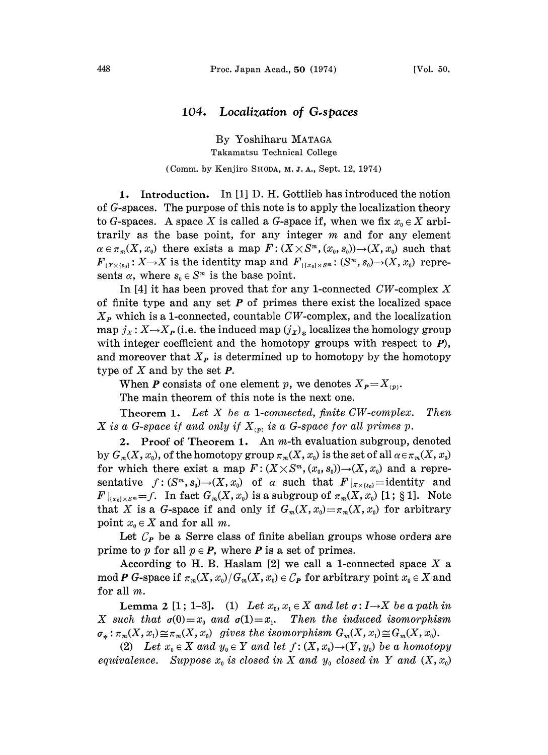## 104. Localization of G.spaces

By Yoshiharu MATAGA Takamatsu Technical College

## (Comm. by Kenjiro SHODA, M. J. A., Sept. 12, 1974)

1. Introduction. In [1] D. H. Gottlieb has introduced the notion of  $G$ -spaces. The purpose of this note is to apply the localization theory to G-spaces. A space X is called a G-space if, when we fix  $x_0 \in X$  arbitrarily as the base point, for any integer  $m$  and for any element  $\alpha \in \pi_m(X, x_0)$  there exists a map  $F: (X \times S^m, (x_0, s_0)) \to (X, x_0)$  such that  $F_{X\times \{s_0\}}: X \to X$  is the identity map and  $F_{X\times \{s_0\} \times S}$  (S<sup>m</sup>, S<sub>0</sub>)  $\to$  (X, x<sub>0</sub>) represents  $\alpha$ , where  $s_0 \in S^m$  is the base point.

In [4] it has been proved that for any 1-connected  $CW$ -complex X of finite type and any set  $P$  of primes there exist the localized space  $X_P$  which is a 1-connected, countable CW-complex, and the localization map  $j_x: X \rightarrow X_{P}$  (i.e. the induced map  $(j_x)_*$  localizes the homology group with integer coefficient and the homotopy groups with respect to  $P$ ), and moreover that  $X_P$  is determined up to homotopy by the homotopy type of  $X$  and by the set  $P$ .

When **P** consists of one element p, we denotes  $X_{P} = X_{(p)}$ .

The main theorem of this note is the next one.

Theorem 1. Let X be <sup>a</sup> l-connected, finite CW-complex. Then X is a G-space if and only if  $X_{(p)}$  is a G-space for all primes p.

2. Proof of Theorem 1. An  $m$ -th evaluation subgroup, denoted by  $G_m(X, x_0)$ , of the homotopy group  $\pi_m(X, x_0)$  is the set of all  $\alpha \in \pi_m(X, x_0)$ for which there exist a map  $F: (X \times S^m, (x_0, s_0)) \to (X, x_0)$  and a representative  $f: (S^m, s_0) \to (X, x_0)$  of  $\alpha$  such that  $F|_{X \times \{s_0\}} =$ identity and  $F|_{\{x_0\}\times S^m}=f.$  In fact  $G_m(X, x_0)$  is a subgroup of  $\pi_m(X, x_0)$  [1; § 1]. Note that X is a G-space if and only if  $G_m(X, x_0) = \pi_m(X, x_0)$  for arbitrary point  $x_0 \in X$  and for all m.

Let  $\mathcal{C}_{P}$  be a Serre class of finite abelian groups whose orders are prime to p for all  $p \in P$ , where P is a set of primes.

According to H. B. Haslam  $[2]$  we call a 1-connected space X a mod P G-space if  $\pi_m(X, x_0) / G_m(X, x_0) \in C_P$  for arbitrary point  $x_0 \in X$  and for all m.

Lemma 2 [1; 1-3]. (1) Let  $x_0, x_1 \in X$  and let  $\sigma: I \rightarrow X$  be a path in X such that  $\sigma(0)=x_0$  and  $\sigma(1)=x_1$ . Then the induced isomorphism  $\sigma_*: \pi_m(X, x_1) \cong \pi_m(X, x_0)$  gives the isomorphism  $G_m(X, x_1) \cong G_m(X, x_0)$ .

(2) Let  $x_0 \in X$  and  $y_0 \in Y$  and let  $f: (X, x_0) \to (Y, y_0)$  be a homotopy equivalence. Suppose  $x_0$  is closed in X and  $y_0$  closed in Y and  $(X, x_0)$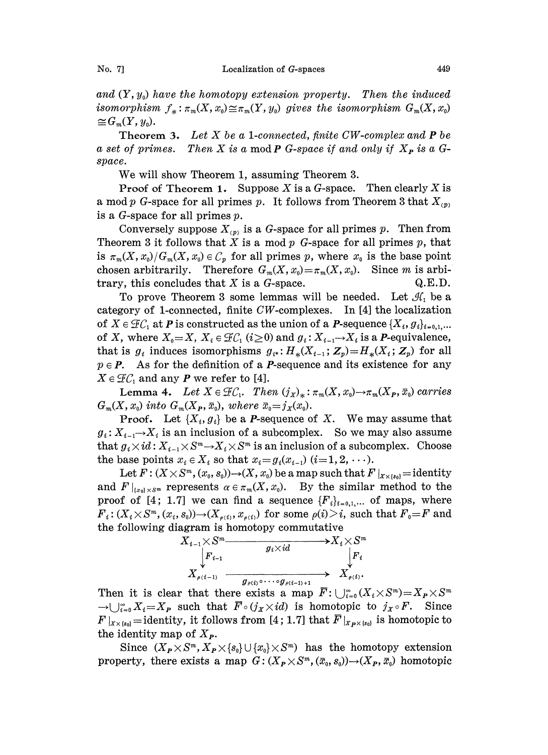and  $(Y, y_0)$  have the homotopy extension property. Then the induced isomorphism  $f_* : \pi_m(X, x_0) \cong \pi_m(Y, y_0)$  gives the isomorphism  $G_m(X, x_0) \cong G_m(Y, y_0)$ .  $\cong G_m(Y, y_0).$ 

**Theorem 3.** Let  $X$  be a 1-connected, finite CW-complex and  $P$  be a set of primes. Then X is a mod P G-space if and only if  $X_P$  is a Gspace.

We will show Theorem 1, assuming Theorem 3.

**Proof of Theorem 1.** Suppose X is a G-space. Then clearly X is a mod p G-space for all primes p. It follows from Theorem 3 that  $X_{(p)}$ is a G-space for all primes  $p$ .

Conversely suppose  $X_{(p)}$  is a G-space for all primes p. Then from Theorem 3 it follows that X is a mod  $p$  G-space for all primes  $p$ , that is  $\pi_m(X, x_0)/G_m(X, x_0) \in C_p$  for all primes p, where  $x_0$  is the base point chosen arbitrarily. Therefore  $G_m(X, x_0) = \pi_m(X, x_0)$ . Since m is arbitrary, this concludes that  $X$  is a  $\tilde{G}$ -space. Q.E.D.

category of l-connected, finite CW-complexes. In [4] the localization To prove Theorem 3 some lemmas will be needed. Let  $\mathcal{H}_1$  be a of  $X \in \mathcal{FC}_1$  at P is constructed as the union of a P-sequence  $\{X_i, g_i\}_{i=0,1,\dots}$ of X, where  $X_0 = X$ ,  $X_i \in \mathcal{F}C_1$   $(i \geq 0)$  and  $g_i : X_{i-1} \rightarrow X_i$  is a *P*-equivalence, that is  $g_i$  induces isomorphisms  $g_{i*}: H_*(X_{i-1}; \mathbb{Z}_p) = H_*(X_i; \mathbb{Z}_p)$  for all  $p \in P$ . As for the definition of a *P*-sequence and its existence for any  $X \in \mathcal{F} \mathcal{C}_1$  and any **P** we refer to [4].

Lemma 4. Let  $X \in \mathcal{FC}_1$ . Then  $(j_X)_*: \pi_m(X, x_0) \to \pi_m(X_P, \bar{x}_0)$  carries  $G_m(X, x_0)$  into  $G_m(X_P, \bar{x}_0)$ , where  $\bar{x}_0 = j_X(x_0)$ .

**Proof.** Let  $\{X_i, g_i\}$  be a *P*-sequence of *X*. We may assume that  $g_i: X_{i-1} \to X_i$  is an inclusion of a subcomplex. So we may also assume<br>that  $g_i \times id: X_{i-1} \times S^m \to X_i \times S^m$  is an inclusion of a subcomplex. Choose that  $g_i \times id$ :  $X_{i-1} \times S^m \to X_i \times S^m$  is an inclusion of a subcomplex. Choose the base points  $x_i \in X_i$  so that  $x_i = g_i(x_{i-1})$   $(i=1, 2, \ldots)$ .

Let  $F: (X \times S^m, (x_0, s_0)) \to (X, x_0)$  be a map such that  $F|_{X \times \{s_0\}} =$  identity and  $F|_{x_0\}\times S^m}$  represents  $\alpha \in \pi_m(X, x_0)$ . By the similar method to the proof of [4; 1.7] we can find a sequence  $\{F_i\}_{i=0,1,...}$  of maps, where  $F_i: (X_i \times S^m, (x_i, s_0)) \to (X_{\rho(i)}, x_{\rho(i)})$  for some  $\rho(i) > i$ , such that  $F_0 = F$  and the following diagram is homotopy commutative



Then it is clear that there exists a map  $\overline{F}$ :  $\bigcup_{i=0}^{\infty} (X_i \times S^m) = X_P \times S^m$  $\rightarrow \bigcup_{i=0}^{\infty} X_i = X_P$  such that  $\overline{F} \circ (j_x \times id)$  is homotopic to  $j_x \circ F$ . Since  $F|_{X\times\{s_0\}}=\text{identity}, \text{ it follows from [4; 1.7] that } \overline{F}|_{X\times\{s_0\}} \text{ is homotopic to }$ the identity map of  $X_{P}$ .

Since  $(X_{\mathbf{P}} \times S^m, X_{\mathbf{P}} \times \{s_0\} \cup \{x_0\} \times S^m)$  has the homotopy extension property, there exists a map  $G: (X_{\mathbf{p}} \times S^m, (\bar{x}_0, s_0)) \to (X_{\mathbf{p}}, \bar{x}_0)$  homotopic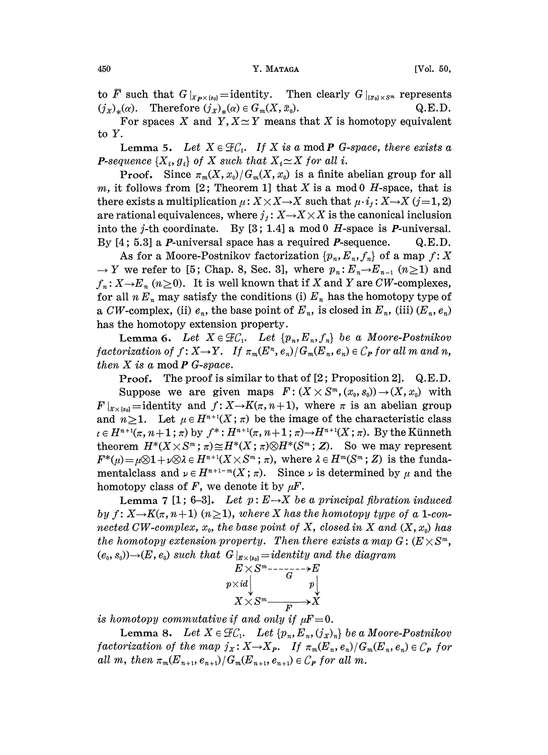to  $\overline{F}$  such that  $G|_{X_{P} \times \{s_0\}} =$  identity. Then clearly  $G|_{\{x_0\} \times S^m}$  represents  $(j_X)_*(\alpha)$ . Therefore  $(j_X)_*(\alpha) \in G_m(X, \bar{x}_0)$ . Q.E.D.

For spaces X and Y,  $X \simeq Y$  means that X is homotopy equivalent to Y.

Lemma 5. Let  $X \in \mathcal{F}C_1$ . If X is a mod P G-space, there exists a **P**-sequence  $\{X_i, g_i\}$  of X such that  $X_i \simeq X$  for all i.

**Proof.** Since  $\pi_m(X, x_0)/G_m(X, x_0)$  is a finite abelian group for all m, it follows from [2; Theorem 1] that X is a mod 0 H-space, that is there exists a multiplication  $\mu: X \times X \rightarrow X$  such that  $\mu \cdot i_j : X \rightarrow X$  (j=1, 2) are rational equivalences, where  $j_j : X \rightarrow X \times X$  is the canonical inclusion into the j-th coordinate. By [3; 1.4] a mod 0 H-space is *P*-universal. By  $[4; 5.3]$  a *P*-universal space has a required *P*-sequence. Q.E.D.

As for a Moore-Postnikov factorization  $\{p_n, E_n, f_n\}$  of a map  $f: X$  $\rightarrow$  Y we refer to [5; Chap. 8, Sec. 3], where  $p_n : E_n \rightarrow E_{n-1}$   $(n \ge 1)$  and  $f_n: X \to E_n$   $(n \ge 0)$ . It is well known that if X and Y are CW-complexes, for all  $n E_n$  may satisfy the conditions (i)  $E_n$  has the homotopy type of a CW-complex, (ii)  $e_n$ , the base point of  $E_n$ , is closed in  $E_n$ , (iii)  $(E_n, e_n)$ has the homotopy extension property.

**Lemma 6.** Let  $X \in \mathcal{FC}_1$ . Let  $\{p_n, E_n, f_n\}$  be a Moore-Postnikov factorization of  $f: X \to Y$ . If  $\pi_m(E^n, e_n)/G_m(E_n, e_n) \in C_P$  for all m and n, then  $X$  is a mod  $P$  G-space.

**Proof.** The proof is similar to that of  $[2;$  Proposition 2].  $Q.E.D.$ 

Suppose we are given maps  $F: (X \times S^m, (x_0, s_0)) \to (X, x_0)$  with  $F|_{X\times \{s_0\}}=$  identity and  $f: X\rightarrow K(\pi, n+1)$ , where  $\pi$  is an abelian group and  $n \geq 1$ . Let  $\mu \in H^{n+1}(X; \pi)$  be the image of the characteristic class  $e \in H^{n+1}(\pi, n+1; \pi)$  by  $f^*: H^{n+1}(\pi, n+1; \pi) \to H^{n+1}(X; \pi)$ . By the Künneth theorem  $H^*(X\times S^m;\pi)\cong H^*(X;\pi)\otimes H^*(S^m;Z)$ . So we may represent  $F^*(\mu) = \mu \otimes 1 + \nu \otimes \lambda \in H^{n+1}(X \times S^m; \pi)$ , where  $\lambda \in H^m(S^m; Z)$  is the fundamentalclass and  $\nu \in H^{n+1-m}(X; \pi)$ . Since  $\nu$  is determined by  $\mu$  and the homotopy class of F, we denote it by  $\mu$ F.

**Lemma 7** [1; 6-3]. Let  $p: E \rightarrow X$  be a principal fibration induced by  $f: X \rightarrow K(\pi, n+1)$   $(n \geq 1)$ , where X has the homotopy type of a 1-connected CW-complex,  $x_0$ , the base point of X, closed in X and  $(X, x_0)$  has the homotopy extension property. Then there exists a map  $G: (E \times S<sup>m</sup>,$  $(e_0, s_0) \rightarrow (E, e_0)$  such that  $G|_{E \times (s_0)} = identity$  and the diagram

$$
E \times S^m \longrightarrow E
$$
  
\n
$$
p \times id
$$
  
\n
$$
X \times S^m \longrightarrow X
$$
  
\n
$$
F \longrightarrow X
$$

is homotopy commutative if and only if  $\mu F=0$ .

Lemma 8. Let  $X \in \mathcal{FC}_1$ . Let  $\{p_n, E_n, (j_X)_n\}$  be a Moore-Postnikov factorization of the map  $j_x: X \to X_P$ . If  $\pi_m(E_n, e_n)/G_m(E_n, e_n) \in C_P$  for all m, then  $\pi_m(E_{n+1}, e_{n+1})/G_m(E_{n+1}, e_{n+1}) \in C_P$  for all m.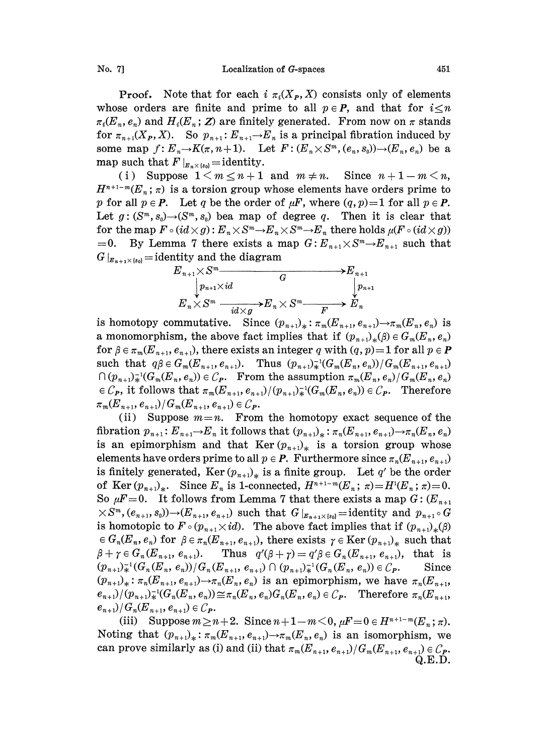No. 7] Localization of G-spaces 451

**Proof.** Note that for each  $i \pi_i(X_P, X)$  consists only of elements whose orders are finite and prime to all  $p \in P$ , and that for  $i \leq n$  $\pi_i(E_n, e_n)$  and  $H_i(E_n; \mathbf{Z})$  are finitely generated. From now on  $\pi$  stands for  $\pi_{n+1}(X_P, X)$ . So  $p_{n+1}: E_{n+1} \to E_n$  is a principal fibration induced by some map  $f: E_n \to K(\pi, n+1)$ . Let  $F: (E_n \times S^m, (e_n, s_0)) \to (E_n, e_n)$  be a map such that  $F|_{E_n \times \{s_0\}} =$  identity.

(i) Suppose  $1 \le m \le n+1$  and  $m \ne n$ . Since  $n+1-m \le n$ ,  $H^{n+1-m}(E_n; \pi)$  is a torsion group whose elements have orders prime to p for all  $p \in P$ . Let q be the order of  $\mu F$ , where  $(q, p)=1$  for all  $p \in P$ . Let  $g:(S^m, s_0)\rightarrow (S^m, s_0)$  bea map of degree q. Then it is clear that for the map  $F \circ (id \times g) : E_n \times S^m \to E_n \times S^m \to E_n$  there holds  $\mu(F \circ (id \times g))$  $=0$ . By Lemma 7 there exists a map  $G: E_{n+1} \times S^m \to E_{n+1}$  such that



is homotopy commutative. Since  $(p_{n+1})_* : \pi_m(E_{n+1}, e_{n+1}) \to \pi_m(E_n, e_n)$  is a monomorphism, the above fact implies that if  $(p_{n+1})_*(\beta) \in G_m(E_n, e_n)$ for  $\beta \in \pi_m(E_{n+1}, e_{n+1})$ , there exists an integer q with  $(q, p)=1$  for all  $p \in \mathbf{P}$ such that  $q\beta \in G_m(E_{n+1}, e_{n+1}).$  Thus  $(p_{n+1})^{-1}(G_m(E_n, e_n))/G_m(E_{n+1}, e_{n+1})$  $\bigcap (p_{n+1})_{\ast}^{-1}(G_m(E_n, e_n)) \in \mathcal{C}_{\mathbf{P}}$ . From the assumption  $\pi_m(E_n, e_n)/G_m(E_n, e_n)$  $\in \mathcal{C}_{P}$ , it follows that  $\pi_m(E_{n+1}, e_{n+1})/(p_{n+1})\neq (G_m(E_n, e_n)) \in \mathcal{C}_{P}$ . Therefore  $\pi_m(E_{n+1}, e_{n+1})/G_m(E_{n+1}, e_{n+1}) \in C_P$ 

(ii) Suppose  $m=n$ . From the homotopy exact sequence of the fibration  $p_{n+1}$ :  $E_{n+1} \to E_n$  it follows that  $(p_{n+1})_*$ :  $\pi_n(E_{n+1}, e_{n+1}) \to \pi_n(E_n, e_n)$ is an epimorphism and that Ker $(p_{n+1})$  is a torsion group whose elements have orders prime to all  $p \in P$ . Furthermore since  $\pi_n(E_{n+1}, e_{n+1})$ is finitely generated, Ker  $(p_{n+1})_{*}$  is a finite group. Let q' be the order of Ker  $(p_{n+1})_*$ . Since  $E_n$  is 1-connected,  $H^{n+1-m}(E_n; \pi)=H^1(E_n; \pi)=0$ . So  $\mu F=0$ . It follows from Lemma 7 that there exists a map  $G: (E_{n+1})$  $\times S^m$ ,  $(e_{n+1}, s_0)$ ) $\rightarrow$   $(E_{n+1}, e_{n+1})$  such that  $G|_{E_{n+1}\times s_0}$  = identity and  $p_{n+1} \circ G$ is homotopic to  $F \circ (p_{n+1} \times id)$ . The above fact implies that if  $(p_{n+1})_{*}(\beta)$  $\in G_n(E_n, e_n)$  for  $\beta \in \pi_n(E_{n+1}, e_{n+1})$ , there exists  $\gamma \in \text{Ker} (p_{n+1})_*$  such that  $\beta + \gamma \in G_n(E_{n+1}, e_{n+1}).$  Thus  $q'(\beta + \gamma) = q'\beta \in G_n(E_{n+1}, e_{n+1}),$  that is  $(p_{n+1})_{\ast}^{-1}(G_n(E_n, e_n))/G_n(E_{n+1}, e_{n+1}) \cap (p_{n+1})_{\ast}^{-1}(G_n(E_n, e_n)) \in \mathcal{C}_P.$  Since  $(p_{n+1})_* : \pi_n(E_{n+1}, e_{n+1}) \to \pi_n(E_n, e_n)$  is an epimorphism, we have  $\pi_n(E_{n+1}, e_n)$  $e_{n+1}/(p_{n+1})\neq (G_n(E_n, e_n)) \leq \pi_n(E_n, e_n)G_n(E_n, e_n) \in C_P$ . Therefore  $\pi_n(E_{n+1}, e_n)$  $(e_{n+1})/G_n(E_{n+1},e_{n+1}) \in \mathcal{C}_{I\!\!P}.$ 

(iii) Suppose  $m\geq n+2$ . Since  $n+1-m< 0$ ,  $\mu F=0\in H^{n+1-m}(E_n;\pi)$ . Noting that  $(p_{n+1})_* : \pi_m(E_{n+1}, e_{n+1}) \to \pi_m(E_n, e_n)$  is an isomorphism, we can prove similarly as (i) and (ii) that  $\pi_m(E_{n+1}, e_{n+1})/G_m(E_{n+1}, e_{n+1}) \in C_P$ . Q.E.D.